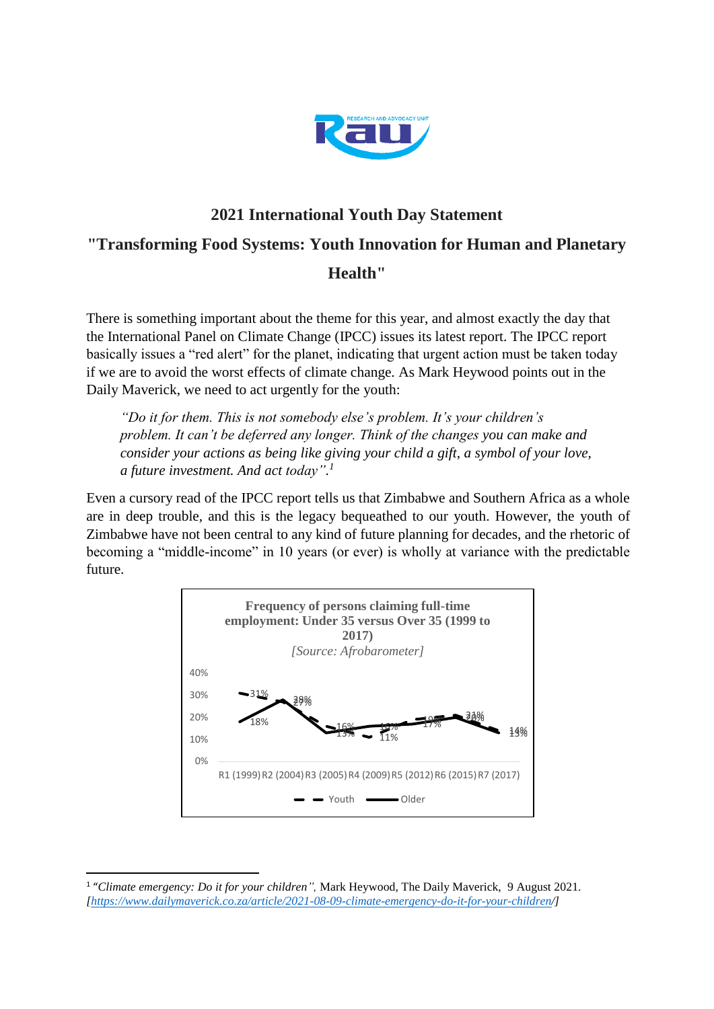

## **2021 International Youth Day Statement "Transforming Food Systems: Youth Innovation for Human and Planetary Health"**

There is something important about the theme for this year, and almost exactly the day that the International Panel on Climate Change (IPCC) issues its latest report. The IPCC report basically issues a "red alert" for the planet, indicating that urgent action must be taken today if we are to avoid the worst effects of climate change. As Mark Heywood points out in the Daily Maverick, we need to act urgently for the youth:

*"Do it for them. This is not somebody else's problem. It's your children's problem. It can't be deferred any longer. Think of the changes you can make and consider your actions as being like giving your child a gift, a symbol of your love, a future investment. And act today". 1*

Even a cursory read of the IPCC report tells us that Zimbabwe and Southern Africa as a whole are in deep trouble, and this is the legacy bequeathed to our youth. However, the youth of Zimbabwe have not been central to any kind of future planning for decades, and the rhetoric of becoming a "middle-income" in 10 years (or ever) is wholly at variance with the predictable future.



**.** 

<sup>&</sup>lt;sup>1</sup> "Climate emergency: Do it for your children", Mark Heywood, The Daily Maverick, 9 August 2021. *[\[https://www.dailymaverick.co.za/article/2021-08-09-climate-emergency-do-it-for-your-children/](https://www.dailymaverick.co.za/article/2021-08-09-climate-emergency-do-it-for-your-children/)]*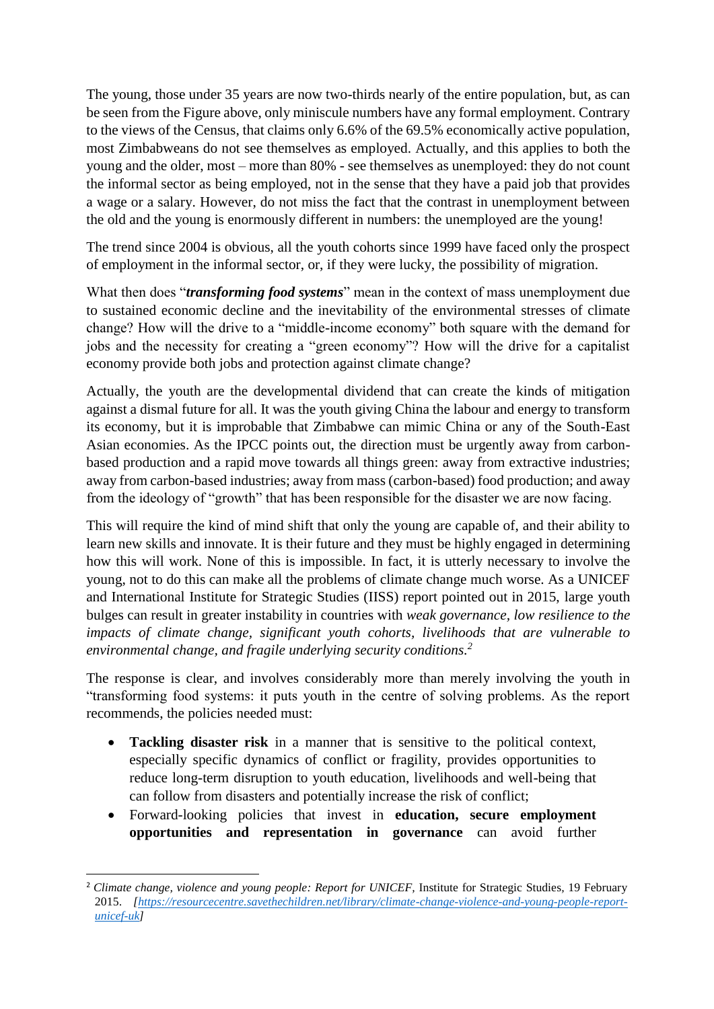The young, those under 35 years are now two-thirds nearly of the entire population, but, as can be seen from the Figure above, only miniscule numbers have any formal employment. Contrary to the views of the Census, that claims only 6.6% of the 69.5% economically active population, most Zimbabweans do not see themselves as employed. Actually, and this applies to both the young and the older, most – more than 80% - see themselves as unemployed: they do not count the informal sector as being employed, not in the sense that they have a paid job that provides a wage or a salary. However, do not miss the fact that the contrast in unemployment between the old and the young is enormously different in numbers: the unemployed are the young!

The trend since 2004 is obvious, all the youth cohorts since 1999 have faced only the prospect of employment in the informal sector, or, if they were lucky, the possibility of migration.

What then does "*transforming food systems*" mean in the context of mass unemployment due to sustained economic decline and the inevitability of the environmental stresses of climate change? How will the drive to a "middle-income economy" both square with the demand for jobs and the necessity for creating a "green economy"? How will the drive for a capitalist economy provide both jobs and protection against climate change?

Actually, the youth are the developmental dividend that can create the kinds of mitigation against a dismal future for all. It was the youth giving China the labour and energy to transform its economy, but it is improbable that Zimbabwe can mimic China or any of the South-East Asian economies. As the IPCC points out, the direction must be urgently away from carbonbased production and a rapid move towards all things green: away from extractive industries; away from carbon-based industries; away from mass (carbon-based) food production; and away from the ideology of "growth" that has been responsible for the disaster we are now facing.

This will require the kind of mind shift that only the young are capable of, and their ability to learn new skills and innovate. It is their future and they must be highly engaged in determining how this will work. None of this is impossible. In fact, it is utterly necessary to involve the young, not to do this can make all the problems of climate change much worse. As a UNICEF and International Institute for Strategic Studies (IISS) report pointed out in 2015, large youth bulges can result in greater instability in countries with *weak governance, low resilience to the impacts of climate change, significant youth cohorts, livelihoods that are vulnerable to environmental change, and fragile underlying security conditions. 2*

The response is clear, and involves considerably more than merely involving the youth in "transforming food systems: it puts youth in the centre of solving problems. As the report recommends, the policies needed must:

- **Tackling disaster risk** in a manner that is sensitive to the political context, especially specific dynamics of conflict or fragility, provides opportunities to reduce long-term disruption to youth education, livelihoods and well-being that can follow from disasters and potentially increase the risk of conflict;
- Forward-looking policies that invest in **education, secure employment opportunities and representation in governance** can avoid further

**.** 

<sup>2</sup> *Climate change, violence and young people: Report for UNICEF,* Institute for Strategic Studies*,* 19 February 2015. *[\[https://resourcecentre.savethechildren.net/library/climate-change-violence-and-young-people-report](https://resourcecentre.savethechildren.net/library/climate-change-violence-and-young-people-report-unicef-uk)[unicef-uk\]](https://resourcecentre.savethechildren.net/library/climate-change-violence-and-young-people-report-unicef-uk)*